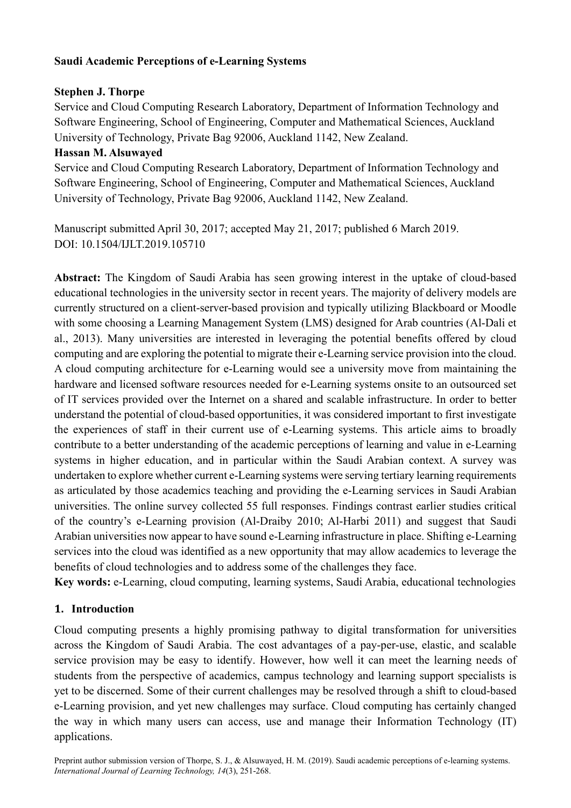## **Saudi Academic Perceptions of e-Learning Systems**

## **Stephen J. Thorpe**

Service and Cloud Computing Research Laboratory, Department of Information Technology and Software Engineering, School of Engineering, Computer and Mathematical Sciences, Auckland University of Technology, Private Bag 92006, Auckland 1142, New Zealand.

#### **Hassan M. Alsuwayed**

Service and Cloud Computing Research Laboratory, Department of Information Technology and Software Engineering, School of Engineering, Computer and Mathematical Sciences, Auckland University of Technology, Private Bag 92006, Auckland 1142, New Zealand.

Manuscript submitted April 30, 2017; accepted May 21, 2017; published 6 March 2019. DOI: 10.1504/IJLT.2019.105710

**Abstract:** The Kingdom of Saudi Arabia has seen growing interest in the uptake of cloud-based educational technologies in the university sector in recent years. The majority of delivery models are currently structured on a client-server-based provision and typically utilizing Blackboard or Moodle with some choosing a Learning Management System (LMS) designed for Arab countries (Al-Dali et al., 2013). Many universities are interested in leveraging the potential benefits offered by cloud computing and are exploring the potential to migrate their e-Learning service provision into the cloud. A cloud computing architecture for e-Learning would see a university move from maintaining the hardware and licensed software resources needed for e-Learning systems onsite to an outsourced set of IT services provided over the Internet on a shared and scalable infrastructure. In order to better understand the potential of cloud-based opportunities, it was considered important to first investigate the experiences of staff in their current use of e-Learning systems. This article aims to broadly contribute to a better understanding of the academic perceptions of learning and value in e-Learning systems in higher education, and in particular within the Saudi Arabian context. A survey was undertaken to explore whether current e-Learning systems were serving tertiary learning requirements as articulated by those academics teaching and providing the e-Learning services in Saudi Arabian universities. The online survey collected 55 full responses. Findings contrast earlier studies critical of the country's e-Learning provision (Al-Draiby 2010; Al-Harbi 2011) and suggest that Saudi Arabian universities now appear to have sound e-Learning infrastructure in place. Shifting e-Learning services into the cloud was identified as a new opportunity that may allow academics to leverage the benefits of cloud technologies and to address some of the challenges they face.

**Key words:** e-Learning, cloud computing, learning systems, Saudi Arabia, educational technologies

## **1. Introduction**

Cloud computing presents a highly promising pathway to digital transformation for universities across the Kingdom of Saudi Arabia. The cost advantages of a pay-per-use, elastic, and scalable service provision may be easy to identify. However, how well it can meet the learning needs of students from the perspective of academics, campus technology and learning support specialists is yet to be discerned. Some of their current challenges may be resolved through a shift to cloud-based e-Learning provision, and yet new challenges may surface. Cloud computing has certainly changed the way in which many users can access, use and manage their Information Technology (IT) applications.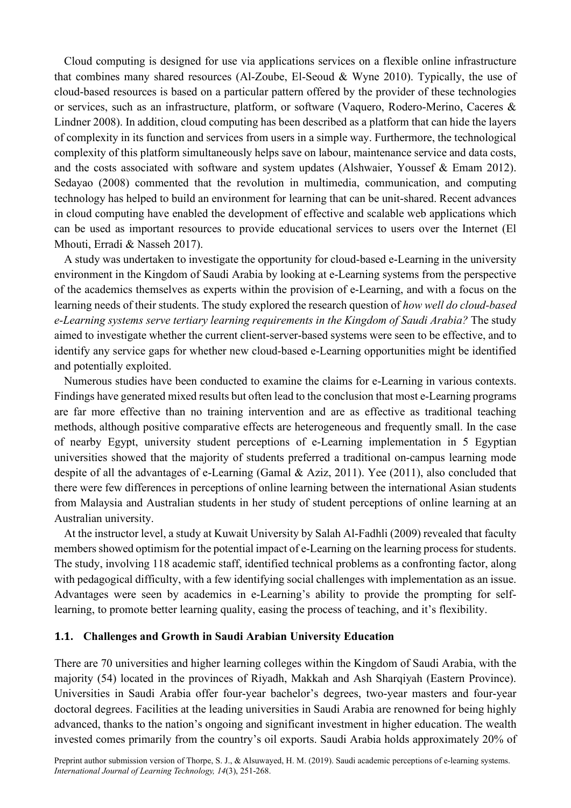Cloud computing is designed for use via applications services on a flexible online infrastructure that combines many shared resources (Al-Zoube, El-Seoud & Wyne 2010). Typically, the use of cloud-based resources is based on a particular pattern offered by the provider of these technologies or services, such as an infrastructure, platform, or software (Vaquero, Rodero-Merino, Caceres & Lindner 2008). In addition, cloud computing has been described as a platform that can hide the layers of complexity in its function and services from users in a simple way. Furthermore, the technological complexity of this platform simultaneously helps save on labour, maintenance service and data costs, and the costs associated with software and system updates (Alshwaier, Youssef & Emam 2012). Sedayao (2008) commented that the revolution in multimedia, communication, and computing technology has helped to build an environment for learning that can be unit-shared. Recent advances in cloud computing have enabled the development of effective and scalable web applications which can be used as important resources to provide educational services to users over the Internet (El Mhouti, Erradi & Nasseh 2017).

A study was undertaken to investigate the opportunity for cloud-based e-Learning in the university environment in the Kingdom of Saudi Arabia by looking at e-Learning systems from the perspective of the academics themselves as experts within the provision of e-Learning, and with a focus on the learning needs of their students. The study explored the research question of *how well do cloud-based e-Learning systems serve tertiary learning requirements in the Kingdom of Saudi Arabia?* The study aimed to investigate whether the current client-server-based systems were seen to be effective, and to identify any service gaps for whether new cloud-based e-Learning opportunities might be identified and potentially exploited.

Numerous studies have been conducted to examine the claims for e-Learning in various contexts. Findings have generated mixed results but often lead to the conclusion that most e-Learning programs are far more effective than no training intervention and are as effective as traditional teaching methods, although positive comparative effects are heterogeneous and frequently small. In the case of nearby Egypt, university student perceptions of e-Learning implementation in 5 Egyptian universities showed that the majority of students preferred a traditional on-campus learning mode despite of all the advantages of e-Learning (Gamal & Aziz, 2011). Yee (2011), also concluded that there were few differences in perceptions of online learning between the international Asian students from Malaysia and Australian students in her study of student perceptions of online learning at an Australian university.

At the instructor level, a study at Kuwait University by Salah Al-Fadhli (2009) revealed that faculty members showed optimism for the potential impact of e-Learning on the learning process for students. The study, involving 118 academic staff, identified technical problems as a confronting factor, along with pedagogical difficulty, with a few identifying social challenges with implementation as an issue. Advantages were seen by academics in e-Learning's ability to provide the prompting for selflearning, to promote better learning quality, easing the process of teaching, and it's flexibility.

#### **1.1. Challenges and Growth in Saudi Arabian University Education**

There are 70 universities and higher learning colleges within the Kingdom of Saudi Arabia, with the majority (54) located in the provinces of Riyadh, Makkah and Ash Sharqiyah (Eastern Province). Universities in Saudi Arabia offer four-year bachelor's degrees, two-year masters and four-year doctoral degrees. Facilities at the leading universities in Saudi Arabia are renowned for being highly advanced, thanks to the nation's ongoing and significant investment in higher education. The wealth invested comes primarily from the country's oil exports. Saudi Arabia holds approximately 20% of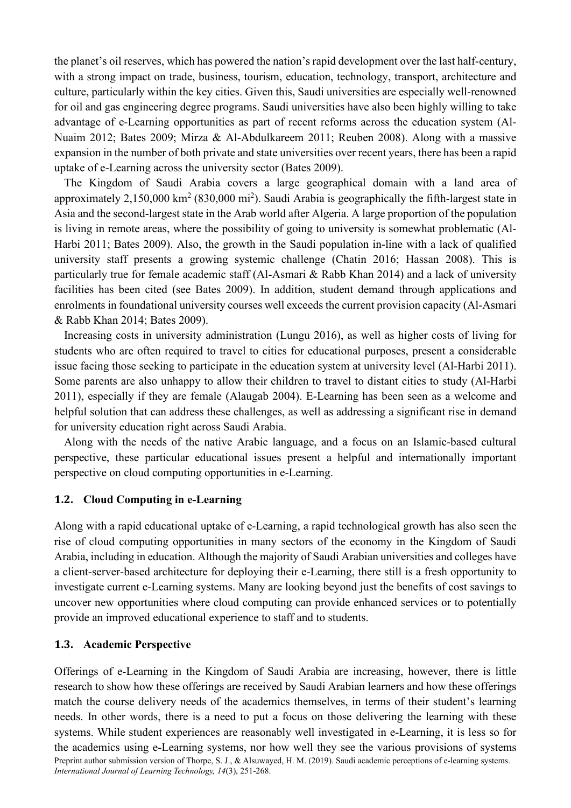the planet's oil reserves, which has powered the nation's rapid development over the last half-century, with a strong impact on trade, business, tourism, education, technology, transport, architecture and culture, particularly within the key cities. Given this, Saudi universities are especially well-renowned for oil and gas engineering degree programs. Saudi universities have also been highly willing to take advantage of e-Learning opportunities as part of recent reforms across the education system (Al-Nuaim 2012; Bates 2009; Mirza & Al-Abdulkareem 2011; Reuben 2008). Along with a massive expansion in the number of both private and state universities over recent years, there has been a rapid uptake of e-Learning across the university sector (Bates 2009).

The Kingdom of Saudi Arabia covers a large geographical domain with a land area of approximately 2,150,000  $\text{km}^2$  (830,000 mi<sup>2</sup>). Saudi Arabia is geographically the fifth-largest state in Asia and the second-largest state in the Arab world after Algeria. A large proportion of the population is living in remote areas, where the possibility of going to university is somewhat problematic (Al-Harbi 2011; Bates 2009). Also, the growth in the Saudi population in-line with a lack of qualified university staff presents a growing systemic challenge (Chatin 2016; Hassan 2008). This is particularly true for female academic staff (Al-Asmari & Rabb Khan 2014) and a lack of university facilities has been cited (see Bates 2009). In addition, student demand through applications and enrolments in foundational university courses well exceeds the current provision capacity (Al-Asmari & Rabb Khan 2014; Bates 2009).

Increasing costs in university administration (Lungu 2016), as well as higher costs of living for students who are often required to travel to cities for educational purposes, present a considerable issue facing those seeking to participate in the education system at university level (Al-Harbi 2011). Some parents are also unhappy to allow their children to travel to distant cities to study (Al-Harbi 2011), especially if they are female (Alaugab 2004). E-Learning has been seen as a welcome and helpful solution that can address these challenges, as well as addressing a significant rise in demand for university education right across Saudi Arabia.

Along with the needs of the native Arabic language, and a focus on an Islamic-based cultural perspective, these particular educational issues present a helpful and internationally important perspective on cloud computing opportunities in e-Learning.

#### **1.2. Cloud Computing in e-Learning**

Along with a rapid educational uptake of e-Learning, a rapid technological growth has also seen the rise of cloud computing opportunities in many sectors of the economy in the Kingdom of Saudi Arabia, including in education. Although the majority of Saudi Arabian universities and colleges have a client-server-based architecture for deploying their e-Learning, there still is a fresh opportunity to investigate current e-Learning systems. Many are looking beyond just the benefits of cost savings to uncover new opportunities where cloud computing can provide enhanced services or to potentially provide an improved educational experience to staff and to students.

#### **1.3. Academic Perspective**

Preprint author submission version of Thorpe, S. J., & Alsuwayed, H. M. (2019). Saudi academic perceptions of e-learning systems. *International Journal of Learning Technology, 14*(3), 251-268. Offerings of e-Learning in the Kingdom of Saudi Arabia are increasing, however, there is little research to show how these offerings are received by Saudi Arabian learners and how these offerings match the course delivery needs of the academics themselves, in terms of their student's learning needs. In other words, there is a need to put a focus on those delivering the learning with these systems. While student experiences are reasonably well investigated in e-Learning, it is less so for the academics using e-Learning systems, nor how well they see the various provisions of systems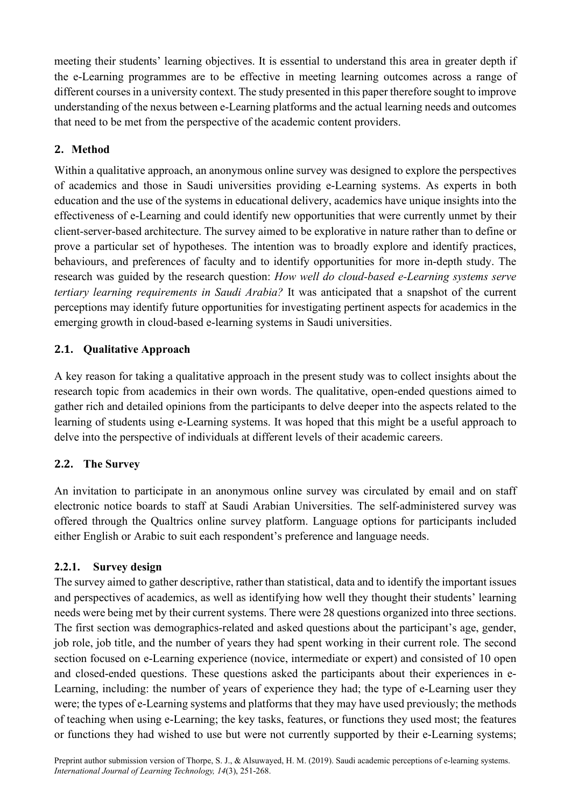meeting their students' learning objectives. It is essential to understand this area in greater depth if the e-Learning programmes are to be effective in meeting learning outcomes across a range of different courses in a university context. The study presented in this paper therefore sought to improve understanding of the nexus between e-Learning platforms and the actual learning needs and outcomes that need to be met from the perspective of the academic content providers.

## **2. Method**

Within a qualitative approach, an anonymous online survey was designed to explore the perspectives of academics and those in Saudi universities providing e-Learning systems. As experts in both education and the use of the systems in educational delivery, academics have unique insights into the effectiveness of e-Learning and could identify new opportunities that were currently unmet by their client-server-based architecture. The survey aimed to be explorative in nature rather than to define or prove a particular set of hypotheses. The intention was to broadly explore and identify practices, behaviours, and preferences of faculty and to identify opportunities for more in-depth study. The research was guided by the research question: *How well do cloud-based e-Learning systems serve tertiary learning requirements in Saudi Arabia?* It was anticipated that a snapshot of the current perceptions may identify future opportunities for investigating pertinent aspects for academics in the emerging growth in cloud-based e-learning systems in Saudi universities.

## **2.1. Qualitative Approach**

A key reason for taking a qualitative approach in the present study was to collect insights about the research topic from academics in their own words. The qualitative, open-ended questions aimed to gather rich and detailed opinions from the participants to delve deeper into the aspects related to the learning of students using e-Learning systems. It was hoped that this might be a useful approach to delve into the perspective of individuals at different levels of their academic careers.

## **2.2. The Survey**

An invitation to participate in an anonymous online survey was circulated by email and on staff electronic notice boards to staff at Saudi Arabian Universities. The self-administered survey was offered through the Qualtrics online survey platform. Language options for participants included either English or Arabic to suit each respondent's preference and language needs.

## **2.2.1. Survey design**

The survey aimed to gather descriptive, rather than statistical, data and to identify the important issues and perspectives of academics, as well as identifying how well they thought their students' learning needs were being met by their current systems. There were 28 questions organized into three sections. The first section was demographics-related and asked questions about the participant's age, gender, job role, job title, and the number of years they had spent working in their current role. The second section focused on e-Learning experience (novice, intermediate or expert) and consisted of 10 open and closed-ended questions. These questions asked the participants about their experiences in e-Learning, including: the number of years of experience they had; the type of e-Learning user they were; the types of e-Learning systems and platforms that they may have used previously; the methods of teaching when using e-Learning; the key tasks, features, or functions they used most; the features or functions they had wished to use but were not currently supported by their e-Learning systems;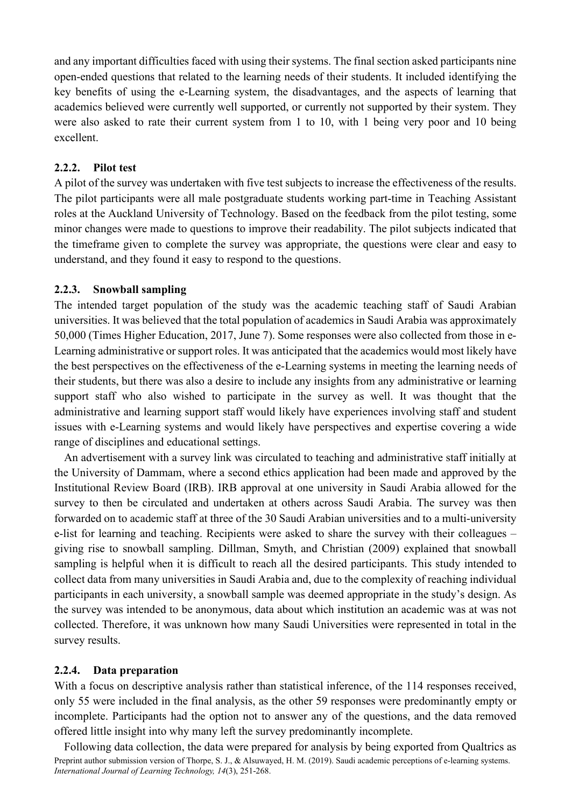and any important difficulties faced with using their systems. The final section asked participants nine open-ended questions that related to the learning needs of their students. It included identifying the key benefits of using the e-Learning system, the disadvantages, and the aspects of learning that academics believed were currently well supported, or currently not supported by their system. They were also asked to rate their current system from 1 to 10, with 1 being very poor and 10 being excellent.

#### **2.2.2. Pilot test**

A pilot of the survey was undertaken with five test subjects to increase the effectiveness of the results. The pilot participants were all male postgraduate students working part-time in Teaching Assistant roles at the Auckland University of Technology. Based on the feedback from the pilot testing, some minor changes were made to questions to improve their readability. The pilot subjects indicated that the timeframe given to complete the survey was appropriate, the questions were clear and easy to understand, and they found it easy to respond to the questions.

#### **2.2.3. Snowball sampling**

The intended target population of the study was the academic teaching staff of Saudi Arabian universities. It was believed that the total population of academics in Saudi Arabia was approximately 50,000 (Times Higher Education, 2017, June 7). Some responses were also collected from those in e-Learning administrative or support roles. It was anticipated that the academics would most likely have the best perspectives on the effectiveness of the e-Learning systems in meeting the learning needs of their students, but there was also a desire to include any insights from any administrative or learning support staff who also wished to participate in the survey as well. It was thought that the administrative and learning support staff would likely have experiences involving staff and student issues with e-Learning systems and would likely have perspectives and expertise covering a wide range of disciplines and educational settings.

An advertisement with a survey link was circulated to teaching and administrative staff initially at the University of Dammam, where a second ethics application had been made and approved by the Institutional Review Board (IRB). IRB approval at one university in Saudi Arabia allowed for the survey to then be circulated and undertaken at others across Saudi Arabia. The survey was then forwarded on to academic staff at three of the 30 Saudi Arabian universities and to a multi-university e-list for learning and teaching. Recipients were asked to share the survey with their colleagues – giving rise to snowball sampling. Dillman, Smyth, and Christian (2009) explained that snowball sampling is helpful when it is difficult to reach all the desired participants. This study intended to collect data from many universities in Saudi Arabia and, due to the complexity of reaching individual participants in each university, a snowball sample was deemed appropriate in the study's design. As the survey was intended to be anonymous, data about which institution an academic was at was not collected. Therefore, it was unknown how many Saudi Universities were represented in total in the survey results.

## **2.2.4. Data preparation**

With a focus on descriptive analysis rather than statistical inference, of the 114 responses received, only 55 were included in the final analysis, as the other 59 responses were predominantly empty or incomplete. Participants had the option not to answer any of the questions, and the data removed offered little insight into why many left the survey predominantly incomplete.

Preprint author submission version of Thorpe, S. J., & Alsuwayed, H. M. (2019). Saudi academic perceptions of e-learning systems. *International Journal of Learning Technology, 14*(3), 251-268. Following data collection, the data were prepared for analysis by being exported from Qualtrics as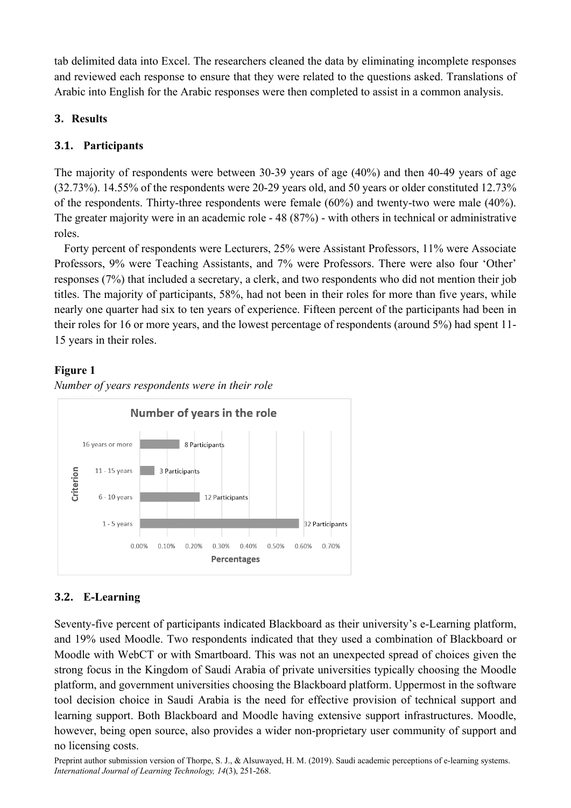tab delimited data into Excel. The researchers cleaned the data by eliminating incomplete responses and reviewed each response to ensure that they were related to the questions asked. Translations of Arabic into English for the Arabic responses were then completed to assist in a common analysis.

## **3. Results**

## **3.1. Participants**

The majority of respondents were between 30-39 years of age (40%) and then 40-49 years of age (32.73%). 14.55% of the respondents were 20-29 years old, and 50 years or older constituted 12.73% of the respondents. Thirty-three respondents were female (60%) and twenty-two were male (40%). The greater majority were in an academic role - 48 (87%) - with others in technical or administrative roles.

Forty percent of respondents were Lecturers, 25% were Assistant Professors, 11% were Associate Professors, 9% were Teaching Assistants, and 7% were Professors. There were also four 'Other' responses (7%) that included a secretary, a clerk, and two respondents who did not mention their job titles. The majority of participants, 58%, had not been in their roles for more than five years, while nearly one quarter had six to ten years of experience. Fifteen percent of the participants had been in their roles for 16 or more years, and the lowest percentage of respondents (around 5%) had spent 11- 15 years in their roles.

## **Figure 1**

*Number of years respondents were in their role*



# **3.2. E-Learning**

Seventy-five percent of participants indicated Blackboard as their university's e-Learning platform, and 19% used Moodle. Two respondents indicated that they used a combination of Blackboard or Moodle with WebCT or with Smartboard. This was not an unexpected spread of choices given the strong focus in the Kingdom of Saudi Arabia of private universities typically choosing the Moodle platform, and government universities choosing the Blackboard platform. Uppermost in the software tool decision choice in Saudi Arabia is the need for effective provision of technical support and learning support. Both Blackboard and Moodle having extensive support infrastructures. Moodle, however, being open source, also provides a wider non-proprietary user community of support and no licensing costs.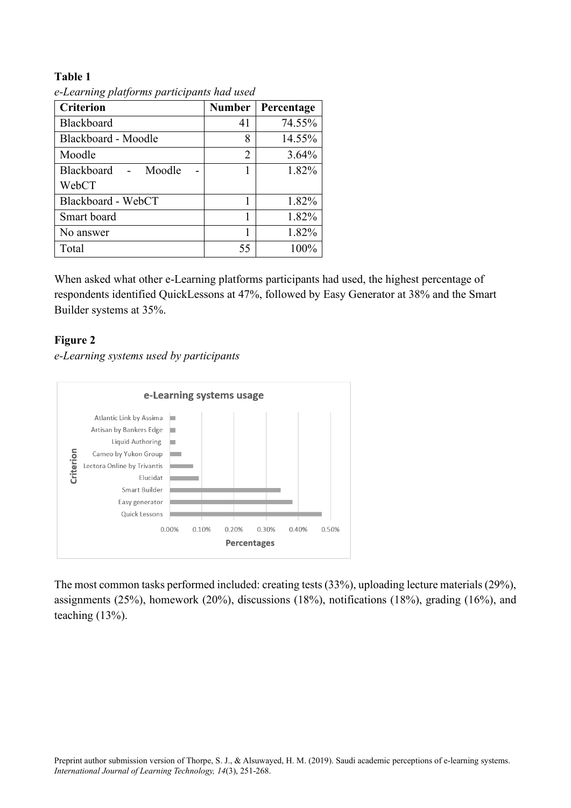#### **Table 1**

| <b>Criterion</b>    | <b>Number</b>  | Percentage |
|---------------------|----------------|------------|
| Blackboard          | 41             | 74.55%     |
| Blackboard - Moodle | 8              | 14.55%     |
| Moodle              | $\overline{2}$ | 3.64%      |
| Blackboard - Moodle |                | 1.82%      |
| WebCT               |                |            |
| Blackboard - WebCT  |                | 1.82%      |
| Smart board         |                | 1.82%      |
| No answer           |                | 1.82%      |
| Total               | 55             | 100%       |

*e-Learning platforms participants had used*

When asked what other e-Learning platforms participants had used, the highest percentage of respondents identified QuickLessons at 47%, followed by Easy Generator at 38% and the Smart Builder systems at 35%.

## **Figure 2**

*e-Learning systems used by participants*



The most common tasks performed included: creating tests (33%), uploading lecture materials (29%), assignments (25%), homework (20%), discussions (18%), notifications (18%), grading (16%), and teaching (13%).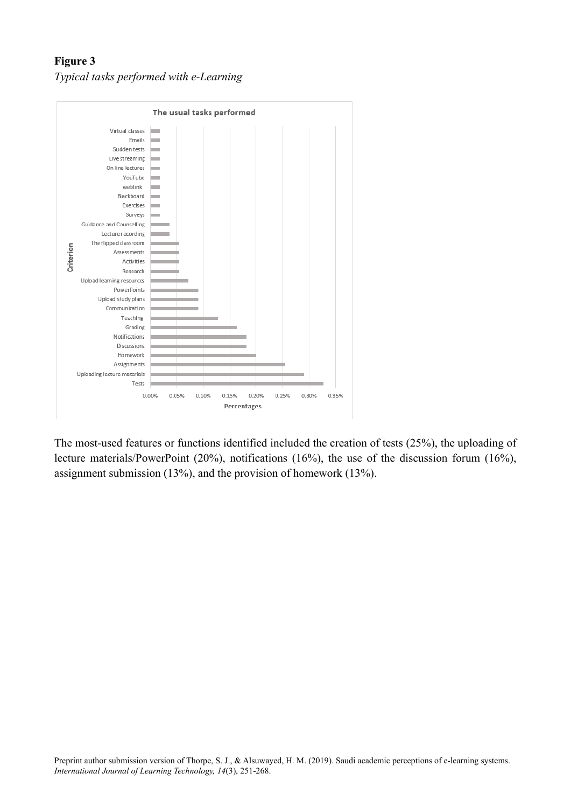# **Figure 3** *Typical tasks performed with e-Learning*



The most-used features or functions identified included the creation of tests (25%), the uploading of lecture materials/PowerPoint (20%), notifications (16%), the use of the discussion forum (16%), assignment submission (13%), and the provision of homework (13%).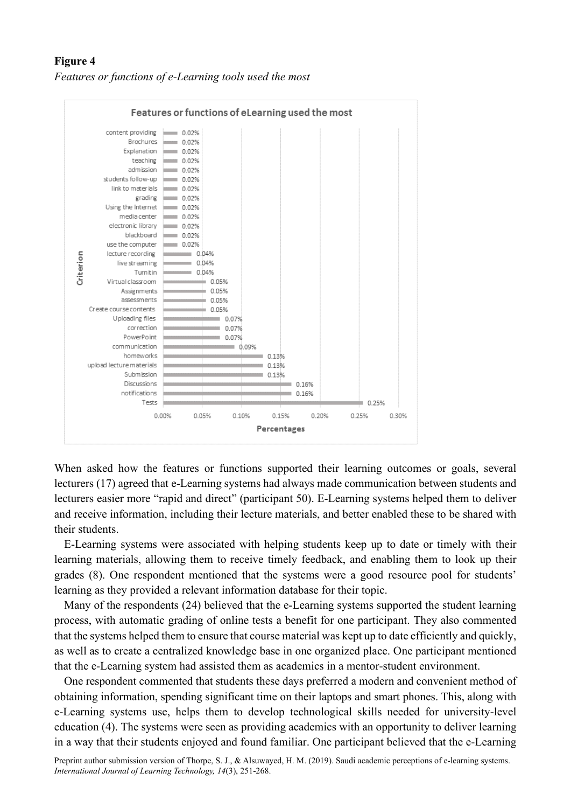## **Figure 4** *Features or functions of e-Learning tools used the most*



When asked how the features or functions supported their learning outcomes or goals, several lecturers (17) agreed that e-Learning systems had always made communication between students and lecturers easier more "rapid and direct" (participant 50). E-Learning systems helped them to deliver and receive information, including their lecture materials, and better enabled these to be shared with their students.

E-Learning systems were associated with helping students keep up to date or timely with their learning materials, allowing them to receive timely feedback, and enabling them to look up their grades (8). One respondent mentioned that the systems were a good resource pool for students' learning as they provided a relevant information database for their topic.

Many of the respondents (24) believed that the e-Learning systems supported the student learning process, with automatic grading of online tests a benefit for one participant. They also commented that the systems helped them to ensure that course material was kept up to date efficiently and quickly, as well as to create a centralized knowledge base in one organized place. One participant mentioned that the e-Learning system had assisted them as academics in a mentor-student environment.

One respondent commented that students these days preferred a modern and convenient method of obtaining information, spending significant time on their laptops and smart phones. This, along with e-Learning systems use, helps them to develop technological skills needed for university-level education (4). The systems were seen as providing academics with an opportunity to deliver learning in a way that their students enjoyed and found familiar. One participant believed that the e-Learning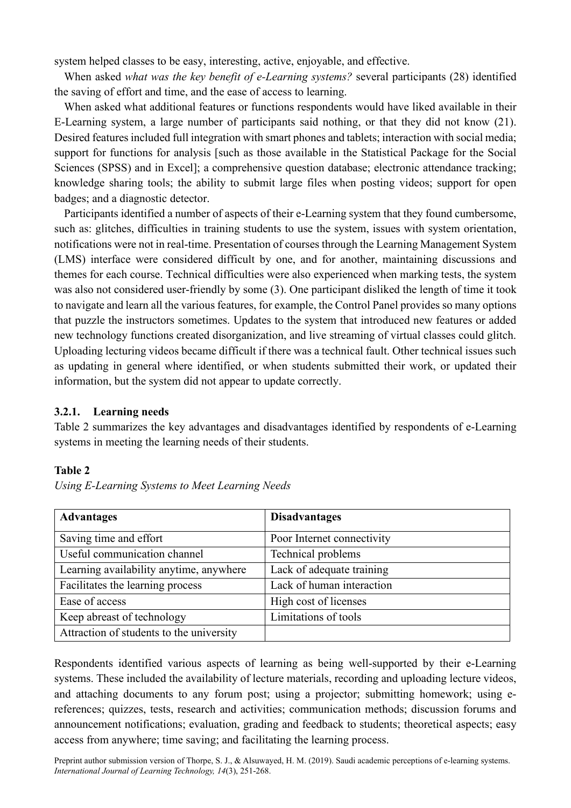system helped classes to be easy, interesting, active, enjoyable, and effective.

When asked *what was the key benefit of e-Learning systems?* several participants (28) identified the saving of effort and time, and the ease of access to learning.

When asked what additional features or functions respondents would have liked available in their E-Learning system, a large number of participants said nothing, or that they did not know (21). Desired features included full integration with smart phones and tablets; interaction with social media; support for functions for analysis [such as those available in the Statistical Package for the Social Sciences (SPSS) and in Excel]; a comprehensive question database; electronic attendance tracking; knowledge sharing tools; the ability to submit large files when posting videos; support for open badges; and a diagnostic detector.

Participants identified a number of aspects of their e-Learning system that they found cumbersome, such as: glitches, difficulties in training students to use the system, issues with system orientation, notifications were not in real-time. Presentation of courses through the Learning Management System (LMS) interface were considered difficult by one, and for another, maintaining discussions and themes for each course. Technical difficulties were also experienced when marking tests, the system was also not considered user-friendly by some (3). One participant disliked the length of time it took to navigate and learn all the various features, for example, the Control Panel provides so many options that puzzle the instructors sometimes. Updates to the system that introduced new features or added new technology functions created disorganization, and live streaming of virtual classes could glitch. Uploading lecturing videos became difficult if there was a technical fault. Other technical issues such as updating in general where identified, or when students submitted their work, or updated their information, but the system did not appear to update correctly.

## **3.2.1. Learning needs**

Table 2 summarizes the key advantages and disadvantages identified by respondents of e-Learning systems in meeting the learning needs of their students.

## **Table 2**

|  |  | Using E-Learning Systems to Meet Learning Needs |
|--|--|-------------------------------------------------|
|--|--|-------------------------------------------------|

| <b>Advantages</b>                        | <b>Disadvantages</b>       |
|------------------------------------------|----------------------------|
| Saving time and effort                   | Poor Internet connectivity |
| Useful communication channel             | Technical problems         |
| Learning availability anytime, anywhere  | Lack of adequate training  |
| Facilitates the learning process         | Lack of human interaction  |
| Ease of access                           | High cost of licenses      |
| Keep abreast of technology               | Limitations of tools       |
| Attraction of students to the university |                            |

Respondents identified various aspects of learning as being well-supported by their e-Learning systems. These included the availability of lecture materials, recording and uploading lecture videos, and attaching documents to any forum post; using a projector; submitting homework; using ereferences; quizzes, tests, research and activities; communication methods; discussion forums and announcement notifications; evaluation, grading and feedback to students; theoretical aspects; easy access from anywhere; time saving; and facilitating the learning process.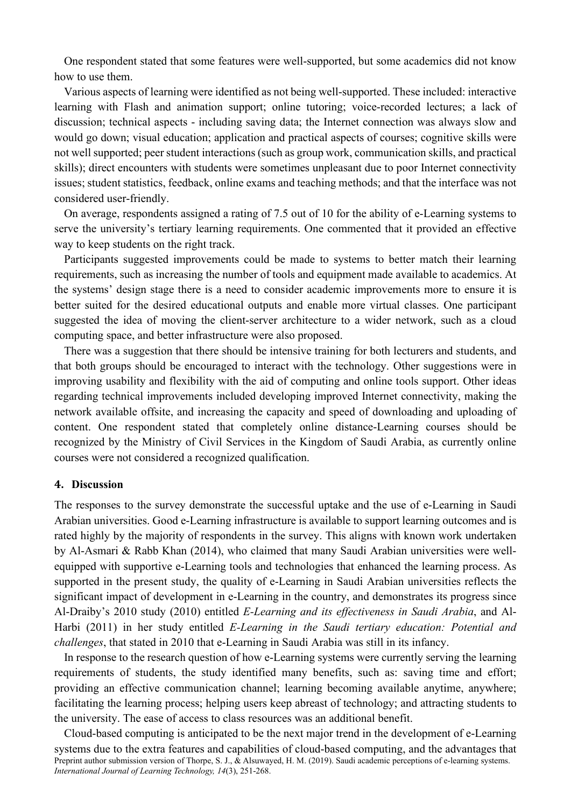One respondent stated that some features were well-supported, but some academics did not know how to use them.

Various aspects of learning were identified as not being well-supported. These included: interactive learning with Flash and animation support; online tutoring; voice-recorded lectures; a lack of discussion; technical aspects - including saving data; the Internet connection was always slow and would go down; visual education; application and practical aspects of courses; cognitive skills were not well supported; peer student interactions (such as group work, communication skills, and practical skills); direct encounters with students were sometimes unpleasant due to poor Internet connectivity issues; student statistics, feedback, online exams and teaching methods; and that the interface was not considered user-friendly.

On average, respondents assigned a rating of 7.5 out of 10 for the ability of e-Learning systems to serve the university's tertiary learning requirements. One commented that it provided an effective way to keep students on the right track.

Participants suggested improvements could be made to systems to better match their learning requirements, such as increasing the number of tools and equipment made available to academics. At the systems' design stage there is a need to consider academic improvements more to ensure it is better suited for the desired educational outputs and enable more virtual classes. One participant suggested the idea of moving the client-server architecture to a wider network, such as a cloud computing space, and better infrastructure were also proposed.

There was a suggestion that there should be intensive training for both lecturers and students, and that both groups should be encouraged to interact with the technology. Other suggestions were in improving usability and flexibility with the aid of computing and online tools support. Other ideas regarding technical improvements included developing improved Internet connectivity, making the network available offsite, and increasing the capacity and speed of downloading and uploading of content. One respondent stated that completely online distance-Learning courses should be recognized by the Ministry of Civil Services in the Kingdom of Saudi Arabia, as currently online courses were not considered a recognized qualification.

#### **4. Discussion**

The responses to the survey demonstrate the successful uptake and the use of e-Learning in Saudi Arabian universities. Good e-Learning infrastructure is available to support learning outcomes and is rated highly by the majority of respondents in the survey. This aligns with known work undertaken by Al-Asmari & Rabb Khan (2014), who claimed that many Saudi Arabian universities were wellequipped with supportive e-Learning tools and technologies that enhanced the learning process. As supported in the present study, the quality of e-Learning in Saudi Arabian universities reflects the significant impact of development in e-Learning in the country, and demonstrates its progress since Al-Draiby's 2010 study (2010) entitled *E-Learning and its effectiveness in Saudi Arabia*, and Al-Harbi (2011) in her study entitled *E-Learning in the Saudi tertiary education: Potential and challenges*, that stated in 2010 that e-Learning in Saudi Arabia was still in its infancy.

In response to the research question of how e-Learning systems were currently serving the learning requirements of students, the study identified many benefits, such as: saving time and effort; providing an effective communication channel; learning becoming available anytime, anywhere; facilitating the learning process; helping users keep abreast of technology; and attracting students to the university. The ease of access to class resources was an additional benefit.

Preprint author submission version of Thorpe, S. J., & Alsuwayed, H. M. (2019). Saudi academic perceptions of e-learning systems. *International Journal of Learning Technology, 14*(3), 251-268. Cloud-based computing is anticipated to be the next major trend in the development of e-Learning systems due to the extra features and capabilities of cloud-based computing, and the advantages that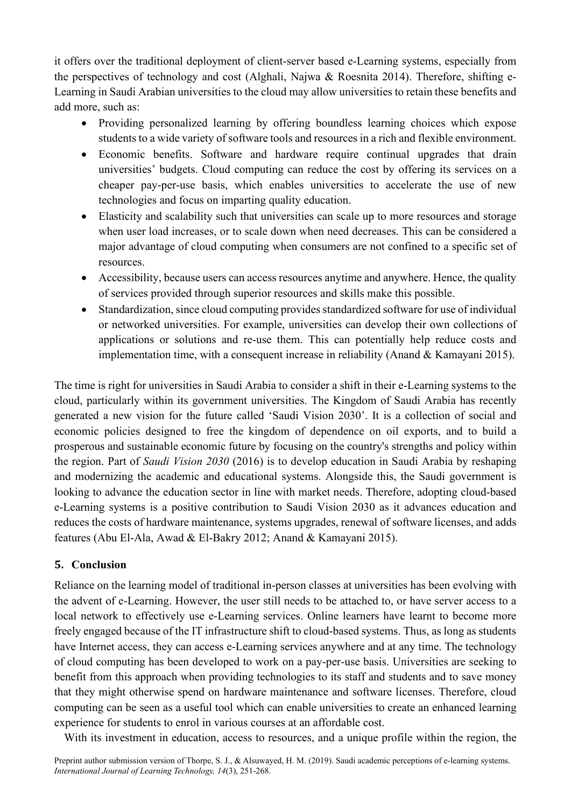it offers over the traditional deployment of client-server based e-Learning systems, especially from the perspectives of technology and cost (Alghali, Najwa & Roesnita 2014). Therefore, shifting e-Learning in Saudi Arabian universities to the cloud may allow universities to retain these benefits and add more, such as:

- Providing personalized learning by offering boundless learning choices which expose students to a wide variety of software tools and resources in a rich and flexible environment.
- Economic benefits. Software and hardware require continual upgrades that drain universities' budgets. Cloud computing can reduce the cost by offering its services on a cheaper pay-per-use basis, which enables universities to accelerate the use of new technologies and focus on imparting quality education.
- Elasticity and scalability such that universities can scale up to more resources and storage when user load increases, or to scale down when need decreases. This can be considered a major advantage of cloud computing when consumers are not confined to a specific set of resources.
- Accessibility, because users can access resources anytime and anywhere. Hence, the quality of services provided through superior resources and skills make this possible.
- Standardization, since cloud computing provides standardized software for use of individual or networked universities. For example, universities can develop their own collections of applications or solutions and re-use them. This can potentially help reduce costs and implementation time, with a consequent increase in reliability (Anand & Kamayani 2015).

The time is right for universities in Saudi Arabia to consider a shift in their e-Learning systems to the cloud, particularly within its government universities. The Kingdom of Saudi Arabia has recently generated a new vision for the future called 'Saudi Vision 2030'. It is a collection of social and economic policies designed to free the kingdom of dependence on oil exports, and to build a prosperous and sustainable economic future by focusing on the country's strengths and policy within the region. Part of *Saudi Vision 2030* (2016) is to develop education in Saudi Arabia by reshaping and modernizing the academic and educational systems. Alongside this, the Saudi government is looking to advance the education sector in line with market needs. Therefore, adopting cloud-based e-Learning systems is a positive contribution to Saudi Vision 2030 as it advances education and reduces the costs of hardware maintenance, systems upgrades, renewal of software licenses, and adds features (Abu El-Ala, Awad & El-Bakry 2012; Anand & Kamayani 2015).

## **5. Conclusion**

Reliance on the learning model of traditional in-person classes at universities has been evolving with the advent of e-Learning. However, the user still needs to be attached to, or have server access to a local network to effectively use e-Learning services. Online learners have learnt to become more freely engaged because of the IT infrastructure shift to cloud-based systems. Thus, as long as students have Internet access, they can access e-Learning services anywhere and at any time. The technology of cloud computing has been developed to work on a pay-per-use basis. Universities are seeking to benefit from this approach when providing technologies to its staff and students and to save money that they might otherwise spend on hardware maintenance and software licenses. Therefore, cloud computing can be seen as a useful tool which can enable universities to create an enhanced learning experience for students to enrol in various courses at an affordable cost.

With its investment in education, access to resources, and a unique profile within the region, the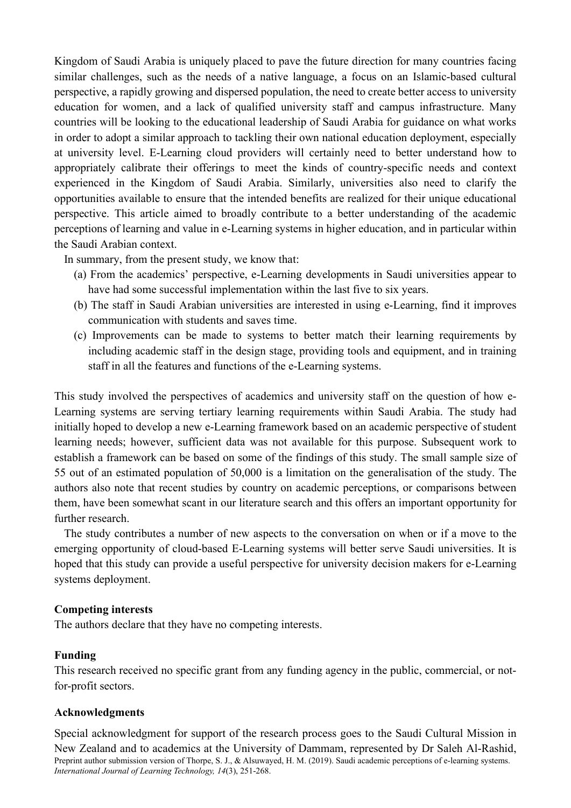Kingdom of Saudi Arabia is uniquely placed to pave the future direction for many countries facing similar challenges, such as the needs of a native language, a focus on an Islamic-based cultural perspective, a rapidly growing and dispersed population, the need to create better access to university education for women, and a lack of qualified university staff and campus infrastructure. Many countries will be looking to the educational leadership of Saudi Arabia for guidance on what works in order to adopt a similar approach to tackling their own national education deployment, especially at university level. E-Learning cloud providers will certainly need to better understand how to appropriately calibrate their offerings to meet the kinds of country-specific needs and context experienced in the Kingdom of Saudi Arabia. Similarly, universities also need to clarify the opportunities available to ensure that the intended benefits are realized for their unique educational perspective. This article aimed to broadly contribute to a better understanding of the academic perceptions of learning and value in e-Learning systems in higher education, and in particular within the Saudi Arabian context.

In summary, from the present study, we know that:

- (a) From the academics' perspective, e-Learning developments in Saudi universities appear to have had some successful implementation within the last five to six years.
- (b) The staff in Saudi Arabian universities are interested in using e-Learning, find it improves communication with students and saves time.
- (c) Improvements can be made to systems to better match their learning requirements by including academic staff in the design stage, providing tools and equipment, and in training staff in all the features and functions of the e-Learning systems.

This study involved the perspectives of academics and university staff on the question of how e-Learning systems are serving tertiary learning requirements within Saudi Arabia. The study had initially hoped to develop a new e-Learning framework based on an academic perspective of student learning needs; however, sufficient data was not available for this purpose. Subsequent work to establish a framework can be based on some of the findings of this study. The small sample size of 55 out of an estimated population of 50,000 is a limitation on the generalisation of the study. The authors also note that recent studies by country on academic perceptions, or comparisons between them, have been somewhat scant in our literature search and this offers an important opportunity for further research.

The study contributes a number of new aspects to the conversation on when or if a move to the emerging opportunity of cloud-based E-Learning systems will better serve Saudi universities. It is hoped that this study can provide a useful perspective for university decision makers for e-Learning systems deployment.

## **Competing interests**

The authors declare that they have no competing interests.

## **Funding**

This research received no specific grant from any funding agency in the public, commercial, or notfor-profit sectors.

#### **Acknowledgments**

Preprint author submission version of Thorpe, S. J., & Alsuwayed, H. M. (2019). Saudi academic perceptions of e-learning systems. *International Journal of Learning Technology, 14*(3), 251-268. Special acknowledgment for support of the research process goes to the Saudi Cultural Mission in New Zealand and to academics at the University of Dammam, represented by Dr Saleh Al-Rashid,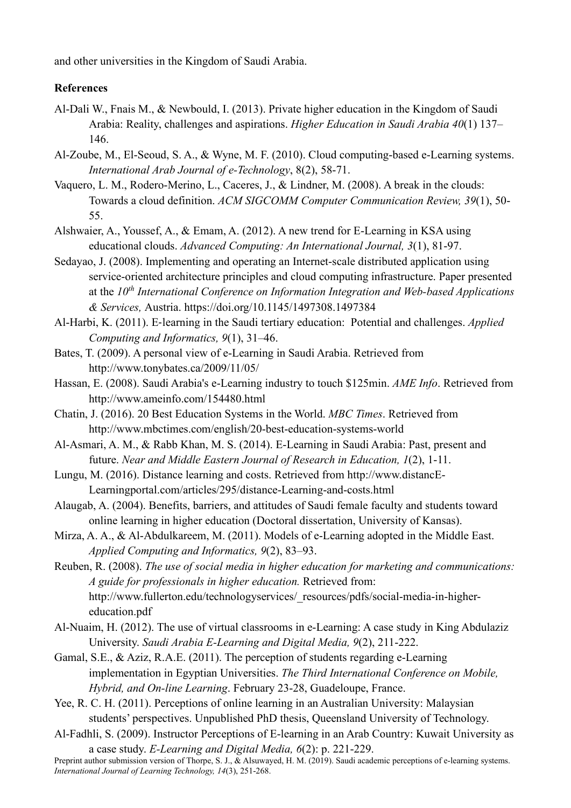and other universities in the Kingdom of Saudi Arabia.

## **References**

- Al-Dali W., Fnais M., & Newbould, I. (2013). Private higher education in the Kingdom of Saudi Arabia: Reality, challenges and aspirations. *Higher Education in Saudi Arabia 40*(1) 137– 146.
- Al-Zoube, M., El-Seoud, S. A., & Wyne, M. F. (2010). Cloud computing-based e-Learning systems. *International Arab Journal of e-Technology*, 8(2), 58-71.
- Vaquero, L. M., Rodero-Merino, L., Caceres, J., & Lindner, M. (2008). A break in the clouds: Towards a cloud definition. *ACM SIGCOMM Computer Communication Review, 39*(1), 50- 55.
- Alshwaier, A., Youssef, A., & Emam, A. (2012). A new trend for E-Learning in KSA using educational clouds. *Advanced Computing: An International Journal, 3*(1), 81-97.
- Sedayao, J. (2008). Implementing and operating an Internet-scale distributed application using service-oriented architecture principles and cloud computing infrastructure. Paper presented at the *10th International Conference on Information Integration and Web-based Applications & Services,* Austria. https://doi.org/10.1145/1497308.1497384
- Al-Harbi, K. (2011). E-learning in the Saudi tertiary education: Potential and challenges. *Applied Computing and Informatics, 9*(1), 31–46.
- Bates, T. (2009). A personal view of e-Learning in Saudi Arabia. Retrieved from http://www.tonybates.ca/2009/11/05/
- Hassan, E. (2008). Saudi Arabia's e-Learning industry to touch \$125min. *AME Info*. Retrieved from http://www.ameinfo.com/154480.html
- Chatin, J. (2016). 20 Best Education Systems in the World. *MBC Times*. Retrieved from http://www.mbctimes.com/english/20-best-education-systems-world
- Al-Asmari, A. M., & Rabb Khan, M. S. (2014). E-Learning in Saudi Arabia: Past, present and future. *Near and Middle Eastern Journal of Research in Education, 1*(2), 1-11.
- Lungu, M. (2016). Distance learning and costs. Retrieved from http://www.distancE-Learningportal.com/articles/295/distance-Learning-and-costs.html
- Alaugab, A. (2004). Benefits, barriers, and attitudes of Saudi female faculty and students toward online learning in higher education (Doctoral dissertation, University of Kansas).
- Mirza, A. A., & Al-Abdulkareem, M. (2011). Models of e-Learning adopted in the Middle East. *Applied Computing and Informatics, 9*(2), 83–93.
- Reuben, R. (2008). *The use of social media in higher education for marketing and communications: A guide for professionals in higher education.* Retrieved from: http://www.fullerton.edu/technologyservices/\_resources/pdfs/social-media-in-highereducation.pdf
- Al-Nuaim, H. (2012). The use of virtual classrooms in e-Learning: A case study in King Abdulaziz University. *Saudi Arabia E-Learning and Digital Media, 9*(2), 211-222.
- Gamal, S.E., & Aziz, R.A.E. (2011). The perception of students regarding e-Learning implementation in Egyptian Universities. *The Third International Conference on Mobile, Hybrid, and On-line Learning*. February 23-28, Guadeloupe, France.
- Yee, R. C. H. (2011). Perceptions of online learning in an Australian University: Malaysian students' perspectives. Unpublished PhD thesis, Queensland University of Technology.
- Al-Fadhli, S. (2009). Instructor Perceptions of E-learning in an Arab Country: Kuwait University as a case study. *E-Learning and Digital Media, 6*(2): p. 221-229.

Preprint author submission version of Thorpe, S. J., & Alsuwayed, H. M. (2019). Saudi academic perceptions of e-learning systems. *International Journal of Learning Technology, 14*(3), 251-268.